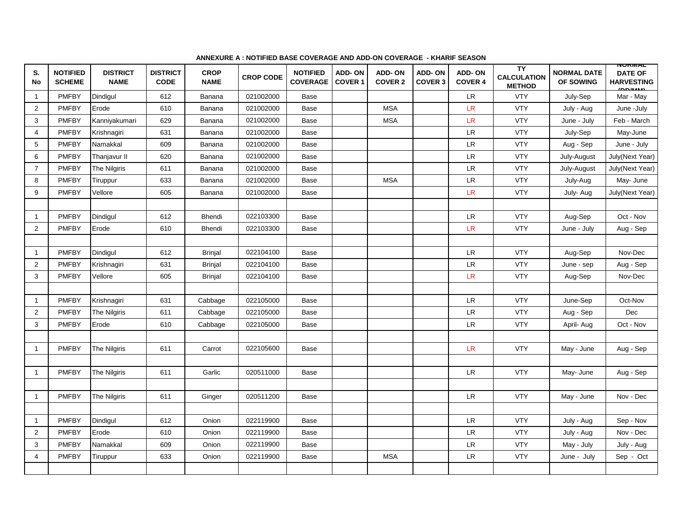| S.<br>No       | <b>NOTIFIED</b><br><b>SCHEME</b> | <b>DISTRICT</b><br><b>NAME</b> | <b>DISTRICT</b><br><b>CODE</b> | <b>CROP</b><br><b>NAME</b> | <b>CROP CODE</b> | <b>NOTIFIED</b><br><b>COVERAGE</b> | <b>ADD-ON</b><br><b>COVER 1</b> | <b>ADD-ON</b><br><b>COVER 2</b> | <b>ADD-ON</b><br><b>COVER 3</b> | ADD-ON<br><b>COVER 4</b>     | <b>TY</b><br><b>CALCULATION</b><br><b>METHOD</b> | <b>NORMAL DATE</b><br>OF SOWING | <b>NUNMAL</b><br><b>DATE OF</b><br><b>HARVESTING</b><br>ADDABAD |
|----------------|----------------------------------|--------------------------------|--------------------------------|----------------------------|------------------|------------------------------------|---------------------------------|---------------------------------|---------------------------------|------------------------------|--------------------------------------------------|---------------------------------|-----------------------------------------------------------------|
| $\mathbf{1}$   | <b>PMFBY</b>                     | Dindigul                       | 612                            | Banana                     | 021002000        | Base                               |                                 |                                 |                                 | LR.                          | <b>VTY</b>                                       | July-Sep                        | Mar - May                                                       |
| 2              | <b>PMFBY</b>                     | Erode                          | 610                            | Banana                     | 021002000        | Base                               |                                 | <b>MSA</b>                      |                                 | LR                           | <b>VTY</b>                                       | July - Aug                      | June -July                                                      |
| 3              | <b>PMFBY</b>                     | Kanniyakumari                  | 629                            | Banana                     | 021002000        | Base                               |                                 | <b>MSA</b>                      |                                 | LR                           | <b>VTY</b>                                       | June - July                     | Feb - March                                                     |
| $\overline{4}$ | <b>PMFBY</b>                     | Krishnagiri                    | 631                            | Banana                     | 021002000        | <b>Base</b>                        |                                 |                                 |                                 | LR.                          | <b>VTY</b>                                       | July-Sep                        | May-June                                                        |
| 5              | <b>PMFBY</b>                     | Namakkal                       | 609                            | Banana                     | 021002000        | Base                               |                                 |                                 |                                 | LR                           | <b>VTY</b>                                       | Aug - Sep                       | June - July                                                     |
| 6              | <b>PMFBY</b>                     | Thanjavur II                   | 620                            | Banana                     | 021002000        | Base                               |                                 |                                 |                                 | LR.                          | <b>VTY</b>                                       | July-August                     | July(Next Year)                                                 |
| $\overline{7}$ | <b>PMFBY</b>                     | The Nilgiris                   | 611                            | Banana                     | 021002000        | Base                               |                                 |                                 |                                 | ${\sf LR}$                   | <b>VTY</b>                                       | July-August                     | July(Next Year)                                                 |
| 8              | <b>PMFBY</b>                     | <b>Tiruppur</b>                | 633                            | Banana                     | 021002000        | Base                               |                                 | <b>MSA</b>                      |                                 | ${\sf LR}$                   | <b>VTY</b>                                       | July-Aug                        | May- June                                                       |
| 9              | <b>PMFBY</b>                     | Vellore                        | 605                            | Banana                     | 021002000        | Base                               |                                 |                                 |                                 | LR                           | <b>VTY</b>                                       | July- Aug                       | July(Next Year)                                                 |
|                |                                  |                                |                                |                            |                  |                                    |                                 |                                 |                                 |                              |                                                  |                                 |                                                                 |
| $\mathbf{1}$   | <b>PMFBY</b>                     | Dindigul                       | 612                            | <b>Bhendi</b>              | 022103300        | Base                               |                                 |                                 |                                 | LR.                          | <b>VTY</b>                                       | Aug-Sep                         | Oct - Nov                                                       |
| $\overline{2}$ | <b>PMFBY</b>                     | Erode                          | 610                            | <b>Bhendi</b>              | 022103300        | Base                               |                                 |                                 |                                 | ${\ensuremath{\mathsf{LR}}}$ | <b>VTY</b>                                       | June - July                     | Aug - Sep                                                       |
|                |                                  |                                |                                |                            |                  |                                    |                                 |                                 |                                 |                              |                                                  |                                 |                                                                 |
| $\mathbf{1}$   | <b>PMFBY</b>                     | Dindigul                       | 612                            | <b>Brinjal</b>             | 022104100        | Base                               |                                 |                                 |                                 | <b>LR</b>                    | <b>VTY</b>                                       | Aug-Sep                         | Nov-Dec                                                         |
| 2              | <b>PMFBY</b>                     | Krishnagiri                    | 631                            | <b>Brinjal</b>             | 022104100        | Base                               |                                 |                                 |                                 | LR                           | <b>VTY</b>                                       | June - sep                      | Aug - Sep                                                       |
| 3              | <b>PMFBY</b>                     | Vellore                        | 605                            | <b>Brinjal</b>             | 022104100        | Base                               |                                 |                                 |                                 | LR                           | <b>VTY</b>                                       | Aug-Sep                         | Nov-Dec                                                         |
|                |                                  |                                |                                |                            |                  |                                    |                                 |                                 |                                 |                              |                                                  |                                 |                                                                 |
| $\mathbf{1}$   | <b>PMFBY</b>                     | Krishnagiri                    | 631                            | Cabbage                    | 022105000        | Base                               |                                 |                                 |                                 | <b>LR</b>                    | <b>VTY</b>                                       | June-Sep                        | Oct-Nov                                                         |
| 2              | <b>PMFBY</b>                     | <b>The Nilgiris</b>            | 611                            | Cabbage                    | 022105000        | Base                               |                                 |                                 |                                 | LR.                          | <b>VTY</b>                                       | Aug - Sep                       | Dec                                                             |
| 3              | <b>PMFBY</b>                     | Erode                          | 610                            | Cabbage                    | 022105000        | Base                               |                                 |                                 |                                 | <b>LR</b>                    | <b>VTY</b>                                       | April- Aug                      | Oct - Nov                                                       |
|                |                                  |                                |                                |                            |                  |                                    |                                 |                                 |                                 |                              |                                                  |                                 |                                                                 |
| $\mathbf 1$    | <b>PMFBY</b>                     | The Nilgiris                   | 611                            | Carrot                     | 022105600        | Base                               |                                 |                                 |                                 | LR                           | <b>VTY</b>                                       | May - June                      | Aug - Sep                                                       |
|                |                                  |                                |                                |                            |                  |                                    |                                 |                                 |                                 |                              |                                                  |                                 |                                                                 |
| $\mathbf{1}$   | <b>PMFBY</b>                     | <b>The Nilgiris</b>            | 611                            | Garlic                     | 020511000        | Base                               |                                 |                                 |                                 | <b>LR</b>                    | <b>VTY</b>                                       | May- June                       | Aug - Sep                                                       |
|                |                                  |                                |                                |                            |                  |                                    |                                 |                                 |                                 |                              |                                                  |                                 |                                                                 |
| $\mathbf{1}$   | <b>PMFBY</b>                     | The Nilgiris                   | 611                            | Ginger                     | 020511200        | <b>Base</b>                        |                                 |                                 |                                 | <b>LR</b>                    | <b>VTY</b>                                       | May - June                      | Nov - Dec                                                       |
|                |                                  |                                |                                |                            |                  |                                    |                                 |                                 |                                 |                              |                                                  |                                 |                                                                 |
| $\mathbf{1}$   | <b>PMFBY</b>                     | Dindigul                       | 612                            | Onion                      | 022119900        | Base                               |                                 |                                 |                                 | <b>LR</b>                    | <b>VTY</b>                                       | July - Aug                      | Sep - Nov                                                       |
| 2              | <b>PMFBY</b>                     | Erode                          | 610                            | Onion                      | 022119900        | Base                               |                                 |                                 |                                 | <b>LR</b>                    | <b>VTY</b>                                       | July - Aug                      | Nov - Dec                                                       |
| 3              | <b>PMFBY</b>                     | Namakkal                       | 609                            | Onion                      | 022119900        | Base                               |                                 |                                 |                                 | <b>LR</b>                    | <b>VTY</b>                                       | May - July                      | July - Aug                                                      |
| $\overline{4}$ | <b>PMFBY</b>                     | Tiruppur                       | 633                            | Onion                      | 022119900        | Base                               |                                 | <b>MSA</b>                      |                                 | <b>LR</b>                    | <b>VTY</b>                                       | June - July                     | Sep - Oct                                                       |
|                |                                  |                                |                                |                            |                  |                                    |                                 |                                 |                                 |                              |                                                  |                                 |                                                                 |

## **ANNEXURE A : NOTIFIED BASE COVERAGE AND ADD-ON COVERAGE - KHARIF SEASON**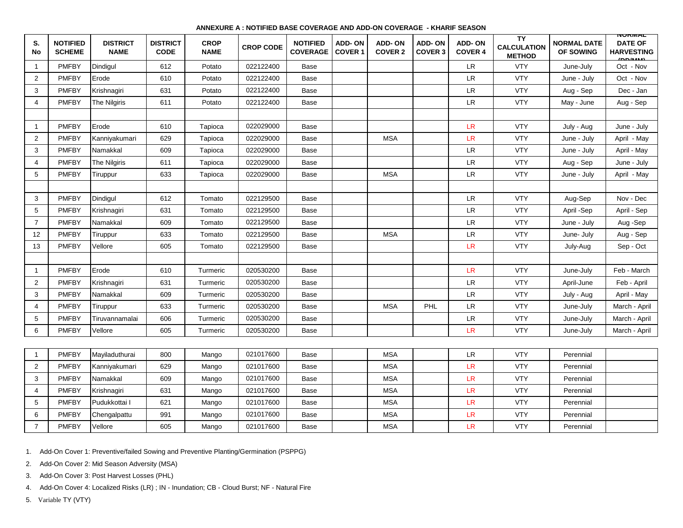## **ANNEXURE A : NOTIFIED BASE COVERAGE AND ADD-ON COVERAGE - KHARIF SEASON**

| S.<br>No       | <b>NOTIFIED</b><br><b>SCHEME</b> | <b>DISTRICT</b><br><b>NAME</b> | <b>DISTRICT</b><br><b>CODE</b> | <b>CROP</b><br><b>NAME</b> | <b>CROP CODE</b> | <b>NOTIFIED</b><br><b>COVERAGE</b> | <b>ADD-ON</b><br><b>COVER 1</b> | <b>ADD-ON</b><br><b>COVER 2</b> | <b>ADD-ON</b><br><b>COVER 3</b> | ADD-ON<br><b>COVER 4</b>   | TY<br><b>CALCULATION</b><br><b>METHOD</b> | <b>NORMAL DATE</b><br>OF SOWING | <b>NUNIMAL</b><br><b>DATE OF</b><br><b>HARVESTING</b><br>ADBAAA |
|----------------|----------------------------------|--------------------------------|--------------------------------|----------------------------|------------------|------------------------------------|---------------------------------|---------------------------------|---------------------------------|----------------------------|-------------------------------------------|---------------------------------|-----------------------------------------------------------------|
|                | PMFBY                            | Dindigul                       | 612                            | Potato                     | 022122400        | Base                               |                                 |                                 |                                 | ${\sf LR}$                 | <b>VTY</b>                                | June-July                       | Oct - Nov                                                       |
| 2              | <b>PMFBY</b>                     | Erode                          | 610                            | Potato                     | 022122400        | Base                               |                                 |                                 |                                 | ${\sf LR}$                 | <b>VTY</b>                                | June - July                     | Oct - Nov                                                       |
| 3              | <b>PMFBY</b>                     | Krishnagiri                    | 631                            | Potato                     | 022122400        | Base                               |                                 |                                 |                                 | <b>LR</b>                  | <b>VTY</b>                                | Aug - Sep                       | Dec - Jan                                                       |
| $\overline{4}$ | <b>PMFBY</b>                     | The Nilgiris                   | 611                            | Potato                     | 022122400        | Base                               |                                 |                                 |                                 | ${\sf LR}$                 | <b>VTY</b>                                | May - June                      | Aug - Sep                                                       |
|                |                                  |                                |                                |                            |                  |                                    |                                 |                                 |                                 |                            |                                           |                                 |                                                                 |
| $\overline{1}$ | <b>PMFBY</b>                     | Erode                          | 610                            | Tapioca                    | 022029000        | Base                               |                                 |                                 |                                 | <b>LR</b>                  | <b>VTY</b>                                | July - Aug                      | June - July                                                     |
| 2              | <b>PMFBY</b>                     | Kanniyakumari                  | 629                            | Tapioca                    | 022029000        | Base                               |                                 | <b>MSA</b>                      |                                 | <b>LR</b>                  | <b>VTY</b>                                | June - July                     | April - May                                                     |
| 3              | <b>PMFBY</b>                     | Namakkal                       | 609                            | Tapioca                    | 022029000        | Base                               |                                 |                                 |                                 | LR.                        | <b>VTY</b>                                | June - July                     | April - May                                                     |
| $\overline{4}$ | <b>PMFBY</b>                     | The Nilgiris                   | 611                            | Tapioca                    | 022029000        | Base                               |                                 |                                 |                                 | LR                         | <b>VTY</b>                                | Aug - Sep                       | June - July                                                     |
| 5              | <b>PMFBY</b>                     | Tiruppur                       | 633                            | Tapioca                    | 022029000        | Base                               |                                 | <b>MSA</b>                      |                                 | <b>LR</b>                  | <b>VTY</b>                                | June - July                     | April - May                                                     |
|                |                                  |                                |                                |                            |                  |                                    |                                 |                                 |                                 |                            |                                           |                                 |                                                                 |
| 3              | <b>PMFBY</b>                     | Dindigul                       | 612                            | Tomato                     | 022129500        | Base                               |                                 |                                 |                                 | <b>LR</b>                  | <b>VTY</b>                                | Aug-Sep                         | Nov - Dec                                                       |
| 5              | <b>PMFBY</b>                     | Krishnagiri                    | 631                            | Tomato                     | 022129500        | Base                               |                                 |                                 |                                 | $\ensuremath{\mathsf{LR}}$ | <b>VTY</b>                                | April -Sep                      | April - Sep                                                     |
| $\overline{7}$ | PMFBY                            | Namakkal                       | 609                            | Tomato                     | 022129500        | Base                               |                                 |                                 |                                 | ${\sf LR}$                 | <b>VTY</b>                                | June - July                     | Aug -Sep                                                        |
| 12             | <b>PMFBY</b>                     | Tiruppur                       | 633                            | Tomato                     | 022129500        | Base                               |                                 | <b>MSA</b>                      |                                 | ${\sf LR}$                 | <b>VTY</b>                                | June- July                      | Aug - Sep                                                       |
| 13             | <b>PMFBY</b>                     | Vellore                        | 605                            | Tomato                     | 022129500        | Base                               |                                 |                                 |                                 | <b>LR</b>                  | <b>VTY</b>                                | July-Aug                        | Sep - Oct                                                       |
|                |                                  |                                |                                |                            |                  |                                    |                                 |                                 |                                 |                            |                                           |                                 |                                                                 |
| $\mathbf 1$    | <b>PMFBY</b>                     | Erode                          | 610                            | Turmeric                   | 020530200        | Base                               |                                 |                                 |                                 | LR                         | <b>VTY</b>                                | June-July                       | Feb - March                                                     |
| 2              | <b>PMFBY</b>                     | Krishnagiri                    | 631                            | Turmeric                   | 020530200        | Base                               |                                 |                                 |                                 | LR                         | <b>VTY</b>                                | April-June                      | Feb - April                                                     |
| 3              | <b>PMFBY</b>                     | Namakkal                       | 609                            | Turmeric                   | 020530200        | Base                               |                                 |                                 |                                 | LR                         | <b>VTY</b>                                | July - Aug                      | April - May                                                     |
| $\overline{4}$ | <b>PMFBY</b>                     | Tiruppur                       | 633                            | Turmeric                   | 020530200        | Base                               |                                 | <b>MSA</b>                      | PHL                             | <b>LR</b>                  | <b>VTY</b>                                | June-July                       | March - April                                                   |
| 5              | <b>PMFBY</b>                     | Tiruvannamalai                 | 606                            | Turmeric                   | 020530200        | Base                               |                                 |                                 |                                 | $\ensuremath{\mathsf{LR}}$ | <b>VTY</b>                                | June-July                       | March - April                                                   |
| 6              | <b>PMFBY</b>                     | Vellore                        | 605                            | Turmeric                   | 020530200        | Base                               |                                 |                                 |                                 | <b>LR</b>                  | <b>VTY</b>                                | June-July                       | March - April                                                   |
|                |                                  |                                |                                |                            |                  |                                    |                                 |                                 |                                 |                            |                                           |                                 |                                                                 |
|                | <b>PMFBY</b>                     | Mayiladuthurai                 | 800                            | Mango                      | 021017600        | Base                               |                                 | <b>MSA</b>                      |                                 | <b>LR</b>                  | <b>VTY</b>                                | Perennial                       |                                                                 |
| $\overline{2}$ | <b>PMFBY</b>                     | Kanniyakumari                  | 629                            | Mango                      | 021017600        | Base                               |                                 | <b>MSA</b>                      |                                 | LR                         | <b>VTY</b>                                | Perennial                       |                                                                 |
| 3              | PMFBY                            | Namakkal                       | 609                            | Mango                      | 021017600        | Base                               |                                 | <b>MSA</b>                      |                                 | LR                         | <b>VTY</b>                                | Perennial                       |                                                                 |
| $\overline{4}$ | <b>PMFBY</b>                     | Krishnagiri                    | 631                            | Mango                      | 021017600        | Base                               |                                 | <b>MSA</b>                      |                                 | <b>LR</b>                  | <b>VTY</b>                                | Perennial                       |                                                                 |
| 5              | <b>PMFBY</b>                     | Pudukkottai I                  | 621                            | Mango                      | 021017600        | Base                               |                                 | <b>MSA</b>                      |                                 | LR                         | <b>VTY</b>                                | Perennial                       |                                                                 |
| 6              | <b>PMFBY</b>                     | Chengalpattu                   | 991                            | Mango                      | 021017600        | Base                               |                                 | <b>MSA</b>                      |                                 | LR                         | <b>VTY</b>                                | Perennial                       |                                                                 |
| $\overline{7}$ | <b>PMFBY</b>                     | Vellore                        | 605                            | Mango                      | 021017600        | Base                               |                                 | <b>MSA</b>                      |                                 | LR                         | <b>VTY</b>                                | Perennial                       |                                                                 |

1. Add-On Cover 1: Preventive/failed Sowing and Preventive Planting/Germination (PSPPG)

2. Add-On Cover 2: Mid Season Adversity (MSA)

3. Add-On Cover 3: Post Harvest Losses (PHL)

4. Add-On Cover 4: Localized Risks (LR) ; IN - Inundation; CB - Cloud Burst; NF - Natural Fire

5. Variable TY (VTY)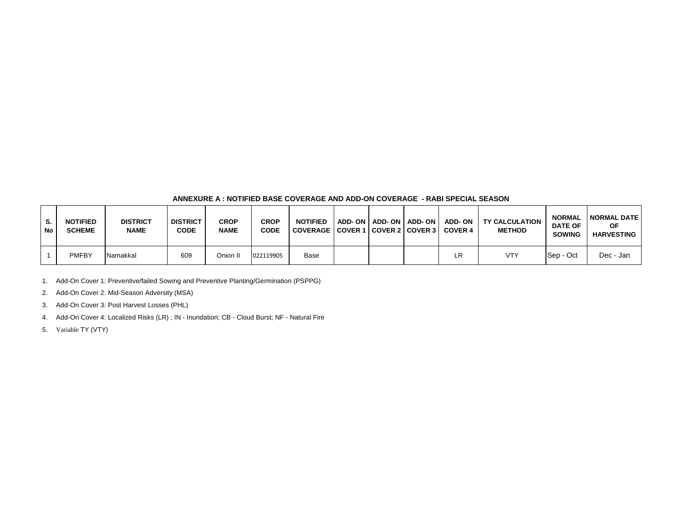## **ANNEXURE A : NOTIFIED BASE COVERAGE AND ADD-ON COVERAGE - RABI SPECIAL SEASON**

| S.<br>No | <b>NOTIFIED</b><br><b>SCHEME</b> | <b>DISTRICT</b><br><b>NAME</b> | <b>DISTRICT</b><br><b>CODE</b> | <b>CROP</b><br><b>NAME</b> | <b>CROP</b><br><b>CODE</b> | <b>NOTIFIED</b><br><b>COVERAGE</b> | <b>COVER 1</b> |  | ADD-ON   ADD-ON   ADD-ON   ADD-ON<br>COVER 2 COVER 3 COVER 4 | <b>TY CALCULATION</b><br><b>METHOD</b> | <b>NORMAL</b><br><b>DATE OF</b><br><b>SOWING</b> | <b>NORMAL DATE</b><br>ОF<br><b>HARVESTING</b> |
|----------|----------------------------------|--------------------------------|--------------------------------|----------------------------|----------------------------|------------------------------------|----------------|--|--------------------------------------------------------------|----------------------------------------|--------------------------------------------------|-----------------------------------------------|
|          | <b>PMFBY</b>                     | Namakkal                       | 609                            | Onion II                   | 022119905                  | Base                               |                |  | LR                                                           | <b>VTY</b>                             | <b>Sep - Oct</b>                                 | Dec - Jan                                     |

1. Add-On Cover 1: Preventive/failed Sowing and Preventive Planting/Germination (PSPPG)

2. Add-On Cover 2: Mid-Season Adversity (MSA)

3. Add-On Cover 3: Post Harvest Losses (PHL)

4. Add-On Cover 4: Localized Risks (LR) ; IN - Inundation; CB - Cloud Burst; NF - Natural Fire

5. Variable TY (VTY)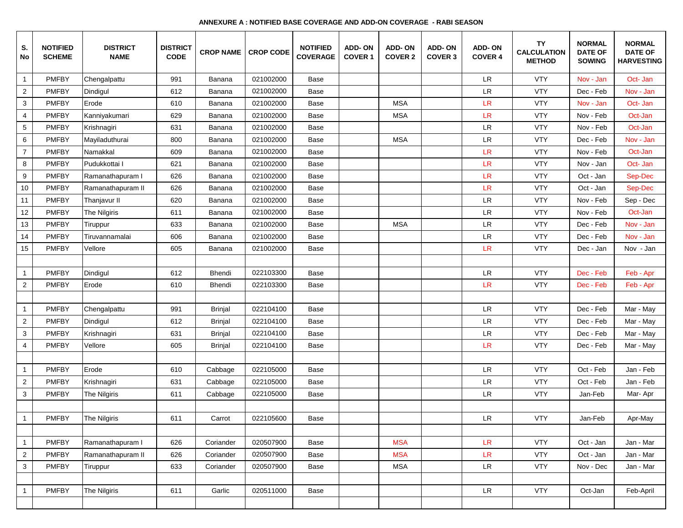| S.<br>No        | <b>NOTIFIED</b><br><b>SCHEME</b> | <b>DISTRICT</b><br><b>NAME</b> | <b>DISTRICT</b><br><b>CODE</b> | <b>CROP NAME</b> | <b>CROP CODE</b> | <b>NOTIFIED</b><br><b>COVERAGE</b> | <b>ADD-ON</b><br><b>COVER 1</b> | <b>ADD-ON</b><br><b>COVER 2</b> | <b>ADD-ON</b><br><b>COVER 3</b> | <b>ADD-ON</b><br><b>COVER 4</b> | TY<br><b>CALCULATION</b><br><b>METHOD</b> | <b>NORMAL</b><br><b>DATE OF</b><br><b>SOWING</b> | <b>NORMAL</b><br><b>DATE OF</b><br><b>HARVESTING</b> |
|-----------------|----------------------------------|--------------------------------|--------------------------------|------------------|------------------|------------------------------------|---------------------------------|---------------------------------|---------------------------------|---------------------------------|-------------------------------------------|--------------------------------------------------|------------------------------------------------------|
| $\mathbf{1}$    | <b>PMFBY</b>                     | Chengalpattu                   | 991                            | Banana           | 021002000        | Base                               |                                 |                                 |                                 | LR.                             | <b>VTY</b>                                | Nov - Jan                                        | Oct- Jan                                             |
| $\overline{2}$  | <b>PMFBY</b>                     | Dindigul                       | 612                            | Banana           | 021002000        | Base                               |                                 |                                 |                                 | <b>LR</b>                       | <b>VTY</b>                                | Dec - Feb                                        | Nov - Jan                                            |
| 3               | <b>PMFBY</b>                     | Erode                          | 610                            | Banana           | 021002000        | Base                               |                                 | <b>MSA</b>                      |                                 | LR                              | <b>VTY</b>                                | Nov - Jan                                        | Oct- Jan                                             |
| $\overline{4}$  | <b>PMFBY</b>                     | Kanniyakumari                  | 629                            | Banana           | 021002000        | Base                               |                                 | <b>MSA</b>                      |                                 | <b>LR</b>                       | <b>VTY</b>                                | Nov - Feb                                        | Oct-Jan                                              |
| $\mathbf{5}$    | <b>PMFBY</b>                     | Krishnagiri                    | 631                            | Banana           | 021002000        | Base                               |                                 |                                 |                                 | LR                              | <b>VTY</b>                                | Nov - Feb                                        | Oct-Jan                                              |
| 6               | <b>PMFBY</b>                     | Mayiladuthurai                 | 800                            | Banana           | 021002000        | Base                               |                                 | <b>MSA</b>                      |                                 | LR                              | <b>VTY</b>                                | Dec - Feb                                        | Nov - Jan                                            |
| $\overline{7}$  | <b>PMFBY</b>                     | Namakkal                       | 609                            | Banana           | 021002000        | Base                               |                                 |                                 |                                 | <b>LR</b>                       | <b>VTY</b>                                | Nov - Feb                                        | Oct-Jan                                              |
| 8               | <b>PMFBY</b>                     | Pudukkottai I                  | 621                            | Banana           | 021002000        | Base                               |                                 |                                 |                                 | LR                              | <b>VTY</b>                                | Nov - Jan                                        | Oct- Jan                                             |
| 9               | <b>PMFBY</b>                     | Ramanathapuram I               | 626                            | Banana           | 021002000        | Base                               |                                 |                                 |                                 | LR                              | <b>VTY</b>                                | Oct - Jan                                        | Sep-Dec                                              |
| 10 <sup>1</sup> | <b>PMFBY</b>                     | Ramanathapuram II              | 626                            | Banana           | 021002000        | Base                               |                                 |                                 |                                 | LR                              | <b>VTY</b>                                | Oct - Jan                                        | Sep-Dec                                              |
| 11              | <b>PMFBY</b>                     | Thanjavur II                   | 620                            | Banana           | 021002000        | Base                               |                                 |                                 |                                 | LR                              | <b>VTY</b>                                | Nov - Feb                                        | Sep - Dec                                            |
| 12              | <b>PMFBY</b>                     | The Nilgiris                   | 611                            | Banana           | 021002000        | Base                               |                                 |                                 |                                 | LR                              | <b>VTY</b>                                | Nov - Feb                                        | Oct-Jan                                              |
| 13              | <b>PMFBY</b>                     | Tiruppur                       | 633                            | Banana           | 021002000        | Base                               |                                 | <b>MSA</b>                      |                                 | <b>LR</b>                       | <b>VTY</b>                                | Dec - Feb                                        | Nov - Jan                                            |
| 14              | <b>PMFBY</b>                     | Tiruvannamalai                 | 606                            | Banana           | 021002000        | Base                               |                                 |                                 |                                 | LR                              | <b>VTY</b>                                | Dec - Feb                                        | Nov - Jan                                            |
| 15              | <b>PMFBY</b>                     | Vellore                        | 605                            | Banana           | 021002000        | Base                               |                                 |                                 |                                 | <b>LR</b>                       | <b>VTY</b>                                | Dec - Jan                                        | Nov - Jan                                            |
|                 |                                  |                                |                                |                  |                  |                                    |                                 |                                 |                                 |                                 |                                           |                                                  |                                                      |
| $\mathbf{1}$    | <b>PMFBY</b>                     | Dindigul                       | 612                            | Bhendi           | 022103300        | Base                               |                                 |                                 |                                 | LR                              | <b>VTY</b>                                | Dec - Feb                                        | Feb - Apr                                            |
| $\overline{a}$  | <b>PMFBY</b>                     | Erode                          | 610                            | Bhendi           | 022103300        | Base                               |                                 |                                 |                                 | LR                              | <b>VTY</b>                                | Dec - Feb                                        | Feb - Apr                                            |
|                 |                                  |                                |                                |                  |                  |                                    |                                 |                                 |                                 |                                 |                                           |                                                  |                                                      |
| $\mathbf{1}$    | <b>PMFBY</b>                     | Chengalpattu                   | 991                            | <b>Brinjal</b>   | 022104100        | Base                               |                                 |                                 |                                 | LR                              | <b>VTY</b>                                | Dec - Feb                                        | Mar - May                                            |
| $\overline{2}$  | <b>PMFBY</b>                     | Dindigul                       | 612                            | <b>Brinjal</b>   | 022104100        | Base                               |                                 |                                 |                                 | LR                              | <b>VTY</b>                                | Dec - Feb                                        | Mar - May                                            |
| 3               | <b>PMFBY</b>                     | Krishnagiri                    | 631                            | <b>Brinjal</b>   | 022104100        | Base                               |                                 |                                 |                                 | LR                              | <b>VTY</b>                                | Dec - Feb                                        | Mar - May                                            |
| 4               | <b>PMFBY</b>                     | Vellore                        | 605                            | <b>Brinjal</b>   | 022104100        | Base                               |                                 |                                 |                                 | LR                              | <b>VTY</b>                                | Dec - Feb                                        | Mar - May                                            |
|                 |                                  |                                |                                |                  |                  |                                    |                                 |                                 |                                 |                                 |                                           |                                                  |                                                      |
| $\mathbf{1}$    | <b>PMFBY</b>                     | Erode                          | 610                            | Cabbage          | 022105000        | Base                               |                                 |                                 |                                 | $\ensuremath{\mathsf{LR}}$      | <b>VTY</b>                                | Oct - Feb                                        | Jan - Feb                                            |
| $\overline{2}$  | <b>PMFBY</b>                     | Krishnagiri                    | 631                            | Cabbage          | 022105000        | Base                               |                                 |                                 |                                 | LR                              | <b>VTY</b>                                | Oct - Feb                                        | Jan - Feb                                            |
| 3               | <b>PMFBY</b>                     | The Nilgiris                   | 611                            | Cabbage          | 022105000        | Base                               |                                 |                                 |                                 | LR                              | <b>VTY</b>                                | Jan-Feb                                          | Mar-Apr                                              |
|                 |                                  |                                |                                |                  |                  |                                    |                                 |                                 |                                 |                                 |                                           |                                                  |                                                      |
| $\mathbf{1}$    | <b>PMFBY</b>                     | <b>The Nilairis</b>            | 611                            | Carrot           | 022105600        | Base                               |                                 |                                 |                                 | LR.                             | <b>VTY</b>                                | Jan-Feb                                          | Apr-May                                              |
|                 |                                  |                                |                                |                  |                  |                                    |                                 |                                 |                                 |                                 |                                           |                                                  |                                                      |
| $\mathbf{1}$    | <b>PMFBY</b>                     | Ramanathapuram I               | 626                            | Coriander        | 020507900        | Base                               |                                 | <b>MSA</b>                      |                                 | <b>LR</b>                       | <b>VTY</b>                                | Oct - Jan                                        | Jan - Mar                                            |
| $\overline{a}$  | <b>PMFBY</b>                     | Ramanathapuram II              | 626                            | Coriander        | 020507900        | Base                               |                                 | <b>MSA</b>                      |                                 | LR                              | <b>VTY</b>                                | Oct - Jan                                        | Jan - Mar                                            |
| 3               | <b>PMFBY</b>                     | Tiruppur                       | 633                            | Coriander        | 020507900        | Base                               |                                 | <b>MSA</b>                      |                                 | $\ensuremath{\mathsf{LR}}$      | <b>VTY</b>                                | Nov - Dec                                        | Jan - Mar                                            |
|                 |                                  |                                |                                |                  |                  |                                    |                                 |                                 |                                 |                                 |                                           |                                                  |                                                      |
| $\mathbf{1}$    | <b>PMFBY</b>                     | The Nilgiris                   | 611                            | Garlic           | 020511000        | Base                               |                                 |                                 |                                 | LR.                             | <b>VTY</b>                                | Oct-Jan                                          | Feb-April                                            |
|                 |                                  |                                |                                |                  |                  |                                    |                                 |                                 |                                 |                                 |                                           |                                                  |                                                      |